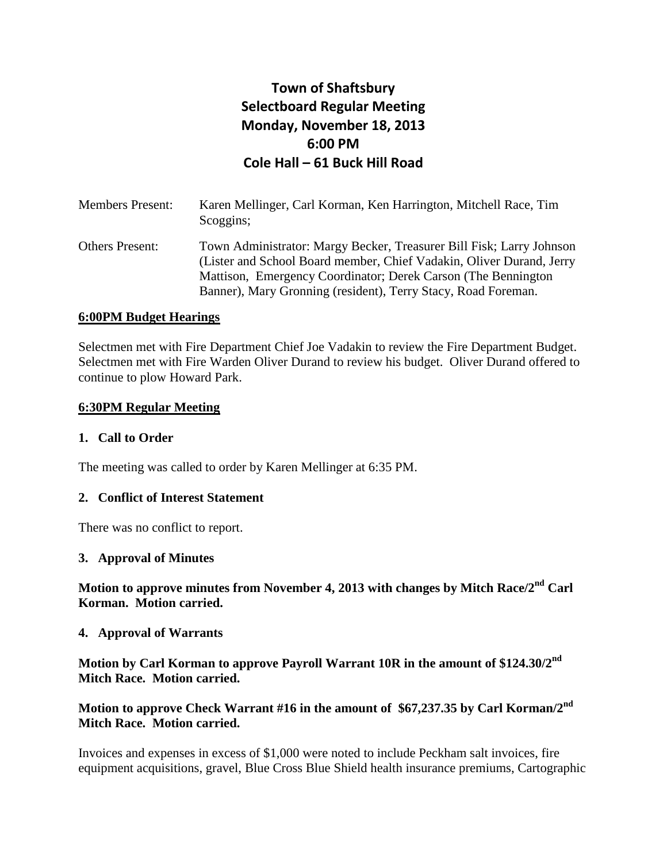# **Town of Shaftsbury Selectboard Regular Meeting Monday, November 18, 2013 6:00 PM Cole Hall – 61 Buck Hill Road**

| <b>Members Present:</b> | Karen Mellinger, Carl Korman, Ken Harrington, Mitchell Race, Tim<br>Scoggins;                                                                                                                                                                                                   |
|-------------------------|---------------------------------------------------------------------------------------------------------------------------------------------------------------------------------------------------------------------------------------------------------------------------------|
| <b>Others Present:</b>  | Town Administrator: Margy Becker, Treasurer Bill Fisk; Larry Johnson<br>(Lister and School Board member, Chief Vadakin, Oliver Durand, Jerry<br>Mattison, Emergency Coordinator; Derek Carson (The Bennington)<br>Banner), Mary Gronning (resident), Terry Stacy, Road Foreman. |

### **6:00PM Budget Hearings**

Selectmen met with Fire Department Chief Joe Vadakin to review the Fire Department Budget. Selectmen met with Fire Warden Oliver Durand to review his budget. Oliver Durand offered to continue to plow Howard Park.

#### **6:30PM Regular Meeting**

### **1. Call to Order**

The meeting was called to order by Karen Mellinger at 6:35 PM.

#### **2. Conflict of Interest Statement**

There was no conflict to report.

#### **3. Approval of Minutes**

**Motion to approve minutes from November 4, 2013 with changes by Mitch Race/2nd Carl Korman. Motion carried.**

#### **4. Approval of Warrants**

**Motion by Carl Korman to approve Payroll Warrant 10R in the amount of \$124.30/2nd Mitch Race. Motion carried.**

# **Motion to approve Check Warrant #16 in the amount of \$67,237.35 by Carl Korman/2nd Mitch Race. Motion carried.**

Invoices and expenses in excess of \$1,000 were noted to include Peckham salt invoices, fire equipment acquisitions, gravel, Blue Cross Blue Shield health insurance premiums, Cartographic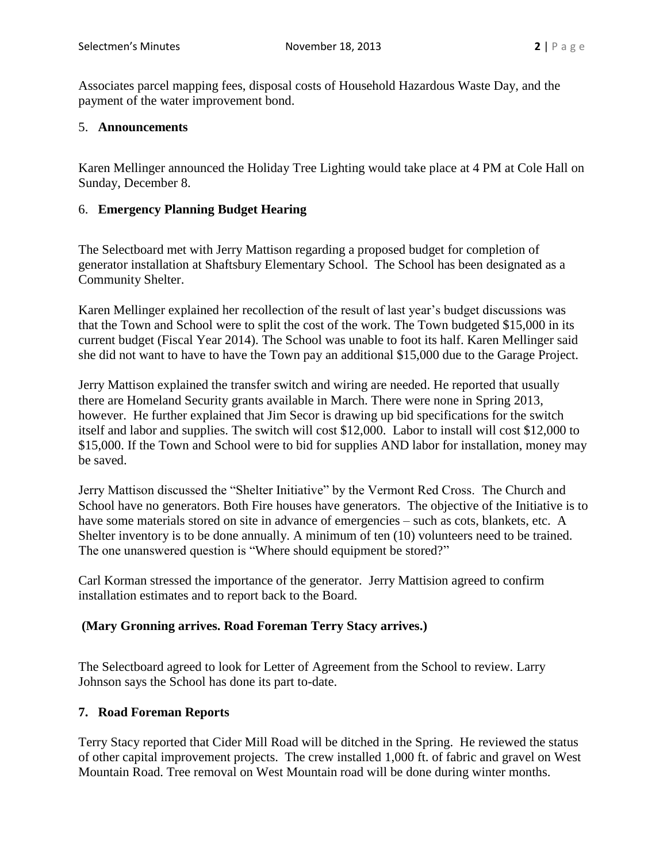Associates parcel mapping fees, disposal costs of Household Hazardous Waste Day, and the payment of the water improvement bond.

### 5. **Announcements**

Karen Mellinger announced the Holiday Tree Lighting would take place at 4 PM at Cole Hall on Sunday, December 8.

### 6. **Emergency Planning Budget Hearing**

The Selectboard met with Jerry Mattison regarding a proposed budget for completion of generator installation at Shaftsbury Elementary School. The School has been designated as a Community Shelter.

Karen Mellinger explained her recollection of the result of last year's budget discussions was that the Town and School were to split the cost of the work. The Town budgeted \$15,000 in its current budget (Fiscal Year 2014). The School was unable to foot its half. Karen Mellinger said she did not want to have to have the Town pay an additional \$15,000 due to the Garage Project.

Jerry Mattison explained the transfer switch and wiring are needed. He reported that usually there are Homeland Security grants available in March. There were none in Spring 2013, however. He further explained that Jim Secor is drawing up bid specifications for the switch itself and labor and supplies. The switch will cost \$12,000. Labor to install will cost \$12,000 to \$15,000. If the Town and School were to bid for supplies AND labor for installation, money may be saved.

Jerry Mattison discussed the "Shelter Initiative" by the Vermont Red Cross. The Church and School have no generators. Both Fire houses have generators. The objective of the Initiative is to have some materials stored on site in advance of emergencies – such as cots, blankets, etc. A Shelter inventory is to be done annually. A minimum of ten (10) volunteers need to be trained. The one unanswered question is "Where should equipment be stored?"

Carl Korman stressed the importance of the generator. Jerry Mattision agreed to confirm installation estimates and to report back to the Board.

### **(Mary Gronning arrives. Road Foreman Terry Stacy arrives.)**

The Selectboard agreed to look for Letter of Agreement from the School to review. Larry Johnson says the School has done its part to-date.

### **7. Road Foreman Reports**

Terry Stacy reported that Cider Mill Road will be ditched in the Spring. He reviewed the status of other capital improvement projects. The crew installed 1,000 ft. of fabric and gravel on West Mountain Road. Tree removal on West Mountain road will be done during winter months.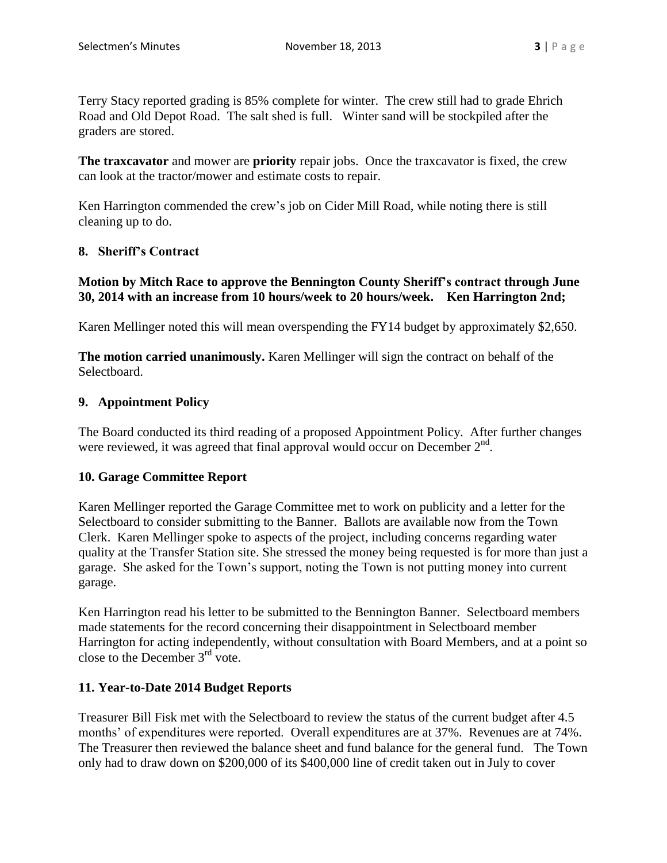Terry Stacy reported grading is 85% complete for winter. The crew still had to grade Ehrich Road and Old Depot Road. The salt shed is full. Winter sand will be stockpiled after the graders are stored.

**The traxcavator** and mower are **priority** repair jobs. Once the traxcavator is fixed, the crew can look at the tractor/mower and estimate costs to repair.

Ken Harrington commended the crew's job on Cider Mill Road, while noting there is still cleaning up to do.

# **8. Sheriff's Contract**

# **Motion by Mitch Race to approve the Bennington County Sheriff's contract through June 30, 2014 with an increase from 10 hours/week to 20 hours/week. Ken Harrington 2nd;**

Karen Mellinger noted this will mean overspending the FY14 budget by approximately \$2,650.

**The motion carried unanimously.** Karen Mellinger will sign the contract on behalf of the Selectboard.

# **9. Appointment Policy**

The Board conducted its third reading of a proposed Appointment Policy. After further changes were reviewed, it was agreed that final approval would occur on December  $2<sup>nd</sup>$ .

# **10. Garage Committee Report**

Karen Mellinger reported the Garage Committee met to work on publicity and a letter for the Selectboard to consider submitting to the Banner. Ballots are available now from the Town Clerk. Karen Mellinger spoke to aspects of the project, including concerns regarding water quality at the Transfer Station site. She stressed the money being requested is for more than just a garage. She asked for the Town's support, noting the Town is not putting money into current garage.

Ken Harrington read his letter to be submitted to the Bennington Banner. Selectboard members made statements for the record concerning their disappointment in Selectboard member Harrington for acting independently, without consultation with Board Members, and at a point so close to the December  $3<sup>rd</sup>$  vote.

# **11. Year-to-Date 2014 Budget Reports**

Treasurer Bill Fisk met with the Selectboard to review the status of the current budget after 4.5 months' of expenditures were reported. Overall expenditures are at 37%. Revenues are at 74%. The Treasurer then reviewed the balance sheet and fund balance for the general fund. The Town only had to draw down on \$200,000 of its \$400,000 line of credit taken out in July to cover